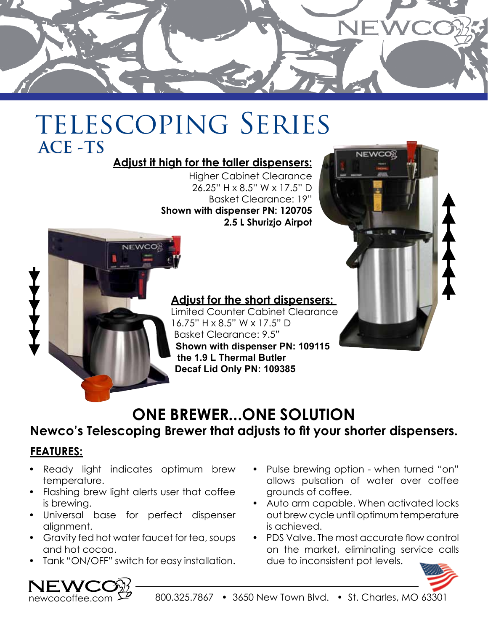

## TELESCOPING SERIES  **ACE -TS**

### **Adjust it high for the taller dispensers:**

Higher Cabinet Clearance 26.25" H x 8.5" W x 17.5" D Basket Clearance: 19" **Shown with dispenser PN: 120705 2.5 L Shurizjo Airpot**

#### **design features that includes that includes that includes that includes that includes the short dispensers:**  $16.75" H x 8.5" W x 17.5" D$ evaporation short potential and adjustable potential and adjustable to the potential and short potential and s **brew shown with dispenser PN: 109115 the brew cycle to all the user the user the user the user the user the user the user the brew cycle to all the user the user the user the user the user the user the user the user the user the user the user the user the us** Limited Counter Cabinet Clearance **the 1.9 L Thermal Butler**



## Newco's Telescoping Brewer that adjusts to fit your shorter dispensers.

## **FEATURES:**

stainless steel cabinet for long stability nd dry might with<br>temperature. • Ready light indicates optimum brew

brewers to satisfy control of the satisfy customer requests for the satisfy control of the satisfy control of the satisfy control of the satisfy control of the satisfy control of the satisfy control of the satisfy control

a multi-feature brewer suited for the

**ACCESSIONS INCORPORATE UNIQUES** 

cycle is in process, and a gravity hotel is in process, and a gravity hotel is in process, and a gravity hotel in the second state of the second state of the second state of the second state of the second state of the seco

which dispenses  $\mathbb{R}^n$ 

**of** the environment.

- Flashing brew light alerts user that coffee is brewing.
- • Universal base for perfect dispenser alignment.
- • Gravity fed hot water faucet for tea, soups and hot cocoa.
- Tank "ON/OFF" switch for easy installation.
- NF V

Pulse brewing option - when turned "on" allows pulsation of water over coffee grounds of coffee.

**NEWCO** 

- Auto arm capable. When activated locks out brew cycle until optimum temperature is achieved.
- PDS Valve. The most accurate flow control on the market, eliminating service calls due to inconsistent pot levels.